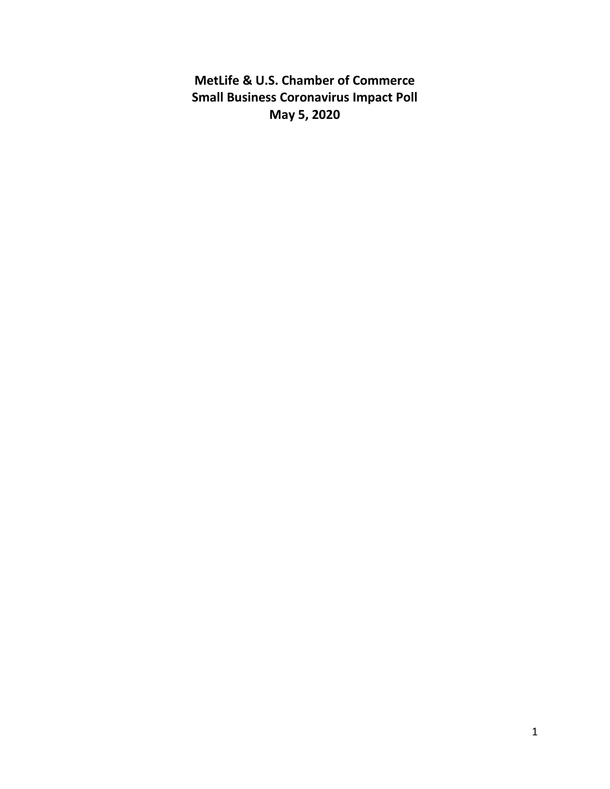**MetLife & U.S. Chamber of Commerce Small Business Coronavirus Impact Poll May 5, 2020**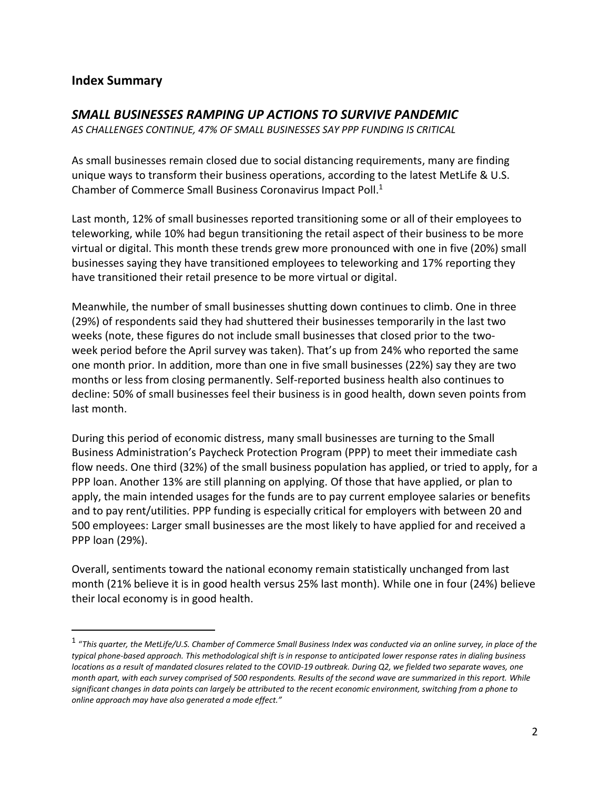## **Index Summary**

 $\overline{a}$ 

### *SMALL BUSINESSES RAMPING UP ACTIONS TO SURVIVE PANDEMIC*

*AS CHALLENGES CONTINUE, 47% OF SMALL BUSINESSES SAY PPP FUNDING IS CRITICAL* 

As small businesses remain closed due to social distancing requirements, many are finding unique ways to transform their business operations, according to the latest MetLife & U.S. Chamber of Commerce Small Business Coronavirus Impact Poll.<sup>1</sup>

Last month, 12% of small businesses reported transitioning some or all of their employees to teleworking, while 10% had begun transitioning the retail aspect of their business to be more virtual or digital. This month these trends grew more pronounced with one in five (20%) small businesses saying they have transitioned employees to teleworking and 17% reporting they have transitioned their retail presence to be more virtual or digital.

Meanwhile, the number of small businesses shutting down continues to climb. One in three (29%) of respondents said they had shuttered their businesses temporarily in the last two weeks (note, these figures do not include small businesses that closed prior to the twoweek period before the April survey was taken). That's up from 24% who reported the same one month prior. In addition, more than one in five small businesses (22%) say they are two months or less from closing permanently. Self-reported business health also continues to decline: 50% of small businesses feel their business is in good health, down seven points from last month.

During this period of economic distress, many small businesses are turning to the Small Business Administration's Paycheck Protection Program (PPP) to meet their immediate cash flow needs. One third (32%) of the small business population has applied, or tried to apply, for a PPP loan. Another 13% are still planning on applying. Of those that have applied, or plan to apply, the main intended usages for the funds are to pay current employee salaries or benefits and to pay rent/utilities. PPP funding is especially critical for employers with between 20 and 500 employees: Larger small businesses are the most likely to have applied for and received a PPP loan (29%).

Overall, sentiments toward the national economy remain statistically unchanged from last month (21% believe it is in good health versus 25% last month). While one in four (24%) believe their local economy is in good health.

<sup>1</sup> "*This quarter, the MetLife/U.S. Chamber of Commerce Small Business Index was conducted via an online survey, in place of the typical phone-based approach. This methodological shift is in response to anticipated lower response rates in dialing business locations as a result of mandated closures related to the COVID-19 outbreak. During Q2, we fielded two separate waves, one month apart, with each survey comprised of 500 respondents. Results of the second wave are summarized in this report. While significant changes in data points can largely be attributed to the recent economic environment, switching from a phone to online approach may have also generated a mode effect."*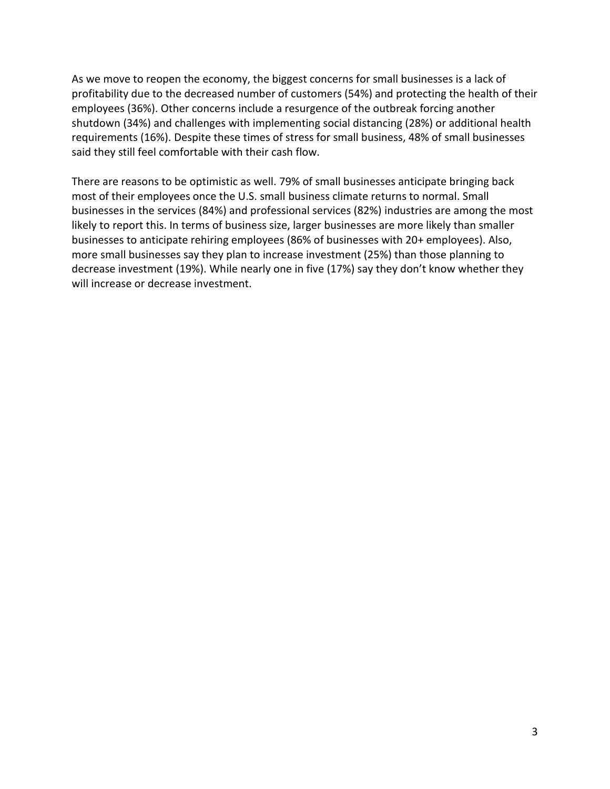As we move to reopen the economy, the biggest concerns for small businesses is a lack of profitability due to the decreased number of customers (54%) and protecting the health of their employees (36%). Other concerns include a resurgence of the outbreak forcing another shutdown (34%) and challenges with implementing social distancing (28%) or additional health requirements (16%). Despite these times of stress for small business, 48% of small businesses said they still feel comfortable with their cash flow.

There are reasons to be optimistic as well. 79% of small businesses anticipate bringing back most of their employees once the U.S. small business climate returns to normal. Small businesses in the services (84%) and professional services (82%) industries are among the most likely to report this. In terms of business size, larger businesses are more likely than smaller businesses to anticipate rehiring employees (86% of businesses with 20+ employees). Also, more small businesses say they plan to increase investment (25%) than those planning to decrease investment (19%). While nearly one in five (17%) say they don't know whether they will increase or decrease investment.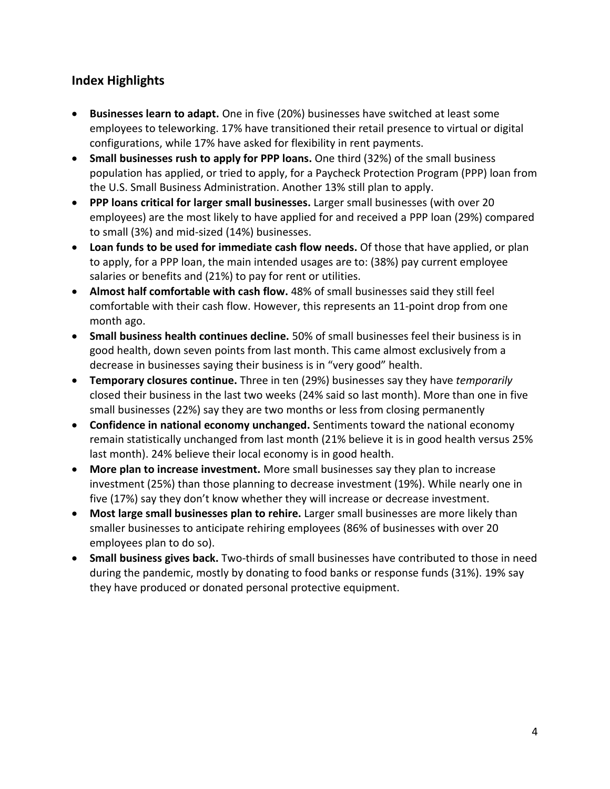# **Index Highlights**

- **Businesses learn to adapt.** One in five (20%) businesses have switched at least some employees to teleworking. 17% have transitioned their retail presence to virtual or digital configurations, while 17% have asked for flexibility in rent payments.
- **Small businesses rush to apply for PPP loans.** One third (32%) of the small business population has applied, or tried to apply, for a Paycheck Protection Program (PPP) loan from the U.S. Small Business Administration. Another 13% still plan to apply.
- **PPP loans critical for larger small businesses.** Larger small businesses (with over 20 employees) are the most likely to have applied for and received a PPP loan (29%) compared to small (3%) and mid-sized (14%) businesses.
- **Loan funds to be used for immediate cash flow needs.** Of those that have applied, or plan to apply, for a PPP loan, the main intended usages are to: (38%) pay current employee salaries or benefits and (21%) to pay for rent or utilities.
- **Almost half comfortable with cash flow.** 48% of small businesses said they still feel comfortable with their cash flow. However, this represents an 11-point drop from one month ago.
- **Small business health continues decline.** 50% of small businesses feel their business is in good health, down seven points from last month. This came almost exclusively from a decrease in businesses saying their business is in "very good" health.
- **Temporary closures continue.** Three in ten (29%) businesses say they have *temporarily* closed their business in the last two weeks (24% said so last month). More than one in five small businesses (22%) say they are two months or less from closing permanently
- **Confidence in national economy unchanged.** Sentiments toward the national economy remain statistically unchanged from last month (21% believe it is in good health versus 25% last month). 24% believe their local economy is in good health.
- **More plan to increase investment.** More small businesses say they plan to increase investment (25%) than those planning to decrease investment (19%). While nearly one in five (17%) say they don't know whether they will increase or decrease investment.
- **Most large small businesses plan to rehire.** Larger small businesses are more likely than smaller businesses to anticipate rehiring employees (86% of businesses with over 20 employees plan to do so).
- **Small business gives back.** Two-thirds of small businesses have contributed to those in need during the pandemic, mostly by donating to food banks or response funds (31%). 19% say they have produced or donated personal protective equipment.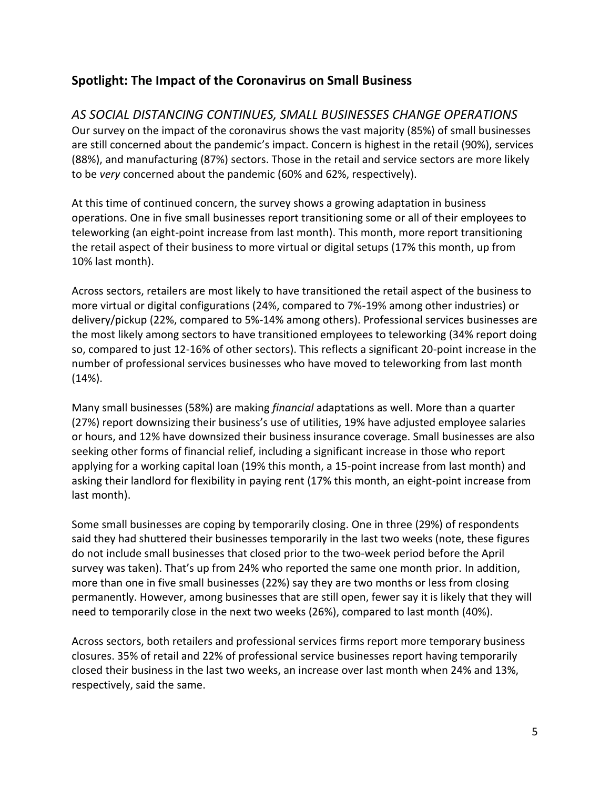## **Spotlight: The Impact of the Coronavirus on Small Business**

# *AS SOCIAL DISTANCING CONTINUES, SMALL BUSINESSES CHANGE OPERATIONS*

Our survey on the impact of the coronavirus shows the vast majority (85%) of small businesses are still concerned about the pandemic's impact. Concern is highest in the retail (90%), services (88%), and manufacturing (87%) sectors. Those in the retail and service sectors are more likely to be *very* concerned about the pandemic (60% and 62%, respectively).

At this time of continued concern, the survey shows a growing adaptation in business operations. One in five small businesses report transitioning some or all of their employees to teleworking (an eight-point increase from last month). This month, more report transitioning the retail aspect of their business to more virtual or digital setups (17% this month, up from 10% last month).

Across sectors, retailers are most likely to have transitioned the retail aspect of the business to more virtual or digital configurations (24%, compared to 7%-19% among other industries) or delivery/pickup (22%, compared to 5%-14% among others). Professional services businesses are the most likely among sectors to have transitioned employees to teleworking (34% report doing so, compared to just 12-16% of other sectors). This reflects a significant 20-point increase in the number of professional services businesses who have moved to teleworking from last month (14%).

Many small businesses (58%) are making *financial* adaptations as well. More than a quarter (27%) report downsizing their business's use of utilities, 19% have adjusted employee salaries or hours, and 12% have downsized their business insurance coverage. Small businesses are also seeking other forms of financial relief, including a significant increase in those who report applying for a working capital loan (19% this month, a 15-point increase from last month) and asking their landlord for flexibility in paying rent (17% this month, an eight-point increase from last month).

Some small businesses are coping by temporarily closing. One in three (29%) of respondents said they had shuttered their businesses temporarily in the last two weeks (note, these figures do not include small businesses that closed prior to the two-week period before the April survey was taken). That's up from 24% who reported the same one month prior. In addition, more than one in five small businesses (22%) say they are two months or less from closing permanently. However, among businesses that are still open, fewer say it is likely that they will need to temporarily close in the next two weeks (26%), compared to last month (40%).

Across sectors, both retailers and professional services firms report more temporary business closures. 35% of retail and 22% of professional service businesses report having temporarily closed their business in the last two weeks, an increase over last month when 24% and 13%, respectively, said the same.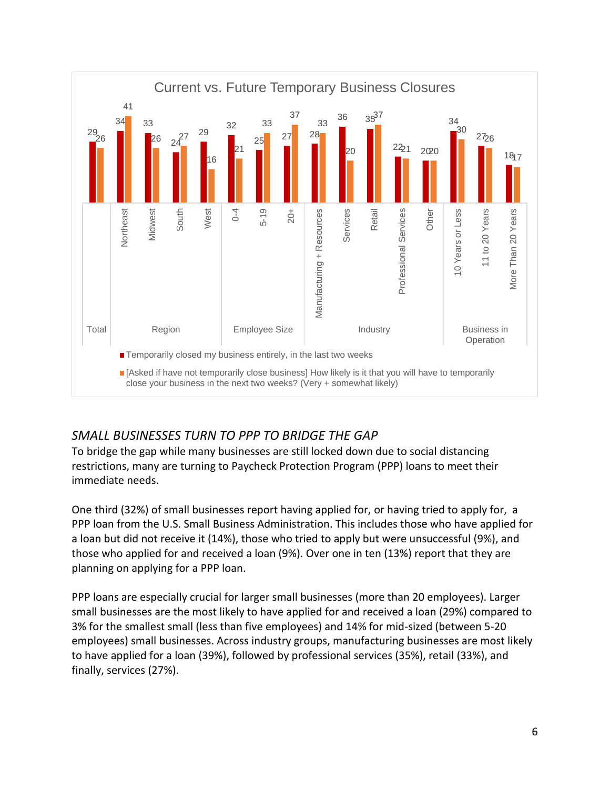

# *SMALL BUSINESSES TURN TO PPP TO BRIDGE THE GAP*

To bridge the gap while many businesses are still locked down due to social distancing restrictions, many are turning to Paycheck Protection Program (PPP) loans to meet their immediate needs.

One third (32%) of small businesses report having applied for, or having tried to apply for, a PPP loan from the U.S. Small Business Administration. This includes those who have applied for a loan but did not receive it (14%), those who tried to apply but were unsuccessful (9%), and those who applied for and received a loan (9%). Over one in ten (13%) report that they are planning on applying for a PPP loan.

PPP loans are especially crucial for larger small businesses (more than 20 employees). Larger small businesses are the most likely to have applied for and received a loan (29%) compared to 3% for the smallest small (less than five employees) and 14% for mid-sized (between 5-20 employees) small businesses. Across industry groups, manufacturing businesses are most likely to have applied for a loan (39%), followed by professional services (35%), retail (33%), and finally, services (27%).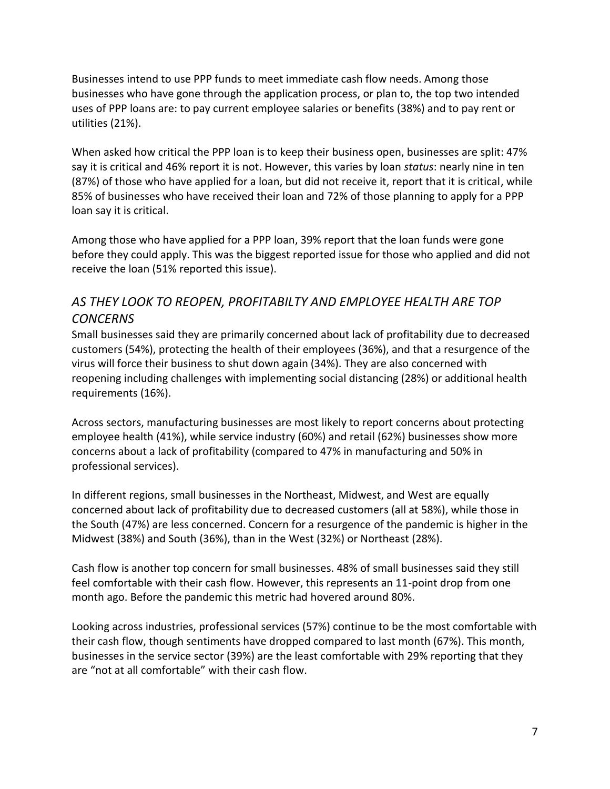Businesses intend to use PPP funds to meet immediate cash flow needs. Among those businesses who have gone through the application process, or plan to, the top two intended uses of PPP loans are: to pay current employee salaries or benefits (38%) and to pay rent or utilities (21%).

When asked how critical the PPP loan is to keep their business open, businesses are split: 47% say it is critical and 46% report it is not. However, this varies by loan *status*: nearly nine in ten (87%) of those who have applied for a loan, but did not receive it, report that it is critical, while 85% of businesses who have received their loan and 72% of those planning to apply for a PPP loan say it is critical.

Among those who have applied for a PPP loan, 39% report that the loan funds were gone before they could apply. This was the biggest reported issue for those who applied and did not receive the loan (51% reported this issue).

# *AS THEY LOOK TO REOPEN, PROFITABILTY AND EMPLOYEE HEALTH ARE TOP CONCERNS*

Small businesses said they are primarily concerned about lack of profitability due to decreased customers (54%), protecting the health of their employees (36%), and that a resurgence of the virus will force their business to shut down again (34%). They are also concerned with reopening including challenges with implementing social distancing (28%) or additional health requirements (16%).

Across sectors, manufacturing businesses are most likely to report concerns about protecting employee health (41%), while service industry (60%) and retail (62%) businesses show more concerns about a lack of profitability (compared to 47% in manufacturing and 50% in professional services).

In different regions, small businesses in the Northeast, Midwest, and West are equally concerned about lack of profitability due to decreased customers (all at 58%), while those in the South (47%) are less concerned. Concern for a resurgence of the pandemic is higher in the Midwest (38%) and South (36%), than in the West (32%) or Northeast (28%).

Cash flow is another top concern for small businesses. 48% of small businesses said they still feel comfortable with their cash flow. However, this represents an 11-point drop from one month ago. Before the pandemic this metric had hovered around 80%.

Looking across industries, professional services (57%) continue to be the most comfortable with their cash flow, though sentiments have dropped compared to last month (67%). This month, businesses in the service sector (39%) are the least comfortable with 29% reporting that they are "not at all comfortable" with their cash flow.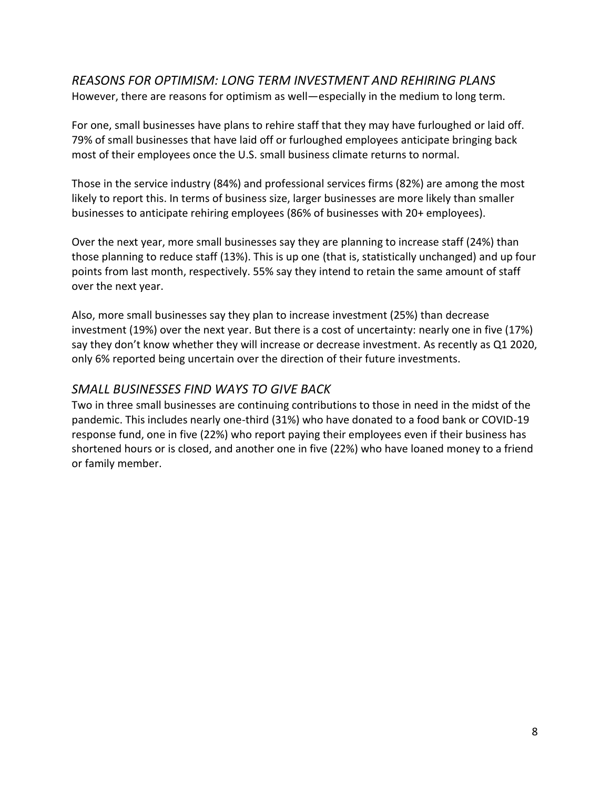#### *REASONS FOR OPTIMISM: LONG TERM INVESTMENT AND REHIRING PLANS*  However, there are reasons for optimism as well—especially in the medium to long term.

For one, small businesses have plans to rehire staff that they may have furloughed or laid off. 79% of small businesses that have laid off or furloughed employees anticipate bringing back most of their employees once the U.S. small business climate returns to normal.

Those in the service industry (84%) and professional services firms (82%) are among the most likely to report this. In terms of business size, larger businesses are more likely than smaller businesses to anticipate rehiring employees (86% of businesses with 20+ employees).

Over the next year, more small businesses say they are planning to increase staff (24%) than those planning to reduce staff (13%). This is up one (that is, statistically unchanged) and up four points from last month, respectively. 55% say they intend to retain the same amount of staff over the next year.

Also, more small businesses say they plan to increase investment (25%) than decrease investment (19%) over the next year. But there is a cost of uncertainty: nearly one in five (17%) say they don't know whether they will increase or decrease investment. As recently as Q1 2020, only 6% reported being uncertain over the direction of their future investments.

## *SMALL BUSINESSES FIND WAYS TO GIVE BACK*

Two in three small businesses are continuing contributions to those in need in the midst of the pandemic. This includes nearly one-third (31%) who have donated to a food bank or COVID-19 response fund, one in five (22%) who report paying their employees even if their business has shortened hours or is closed, and another one in five (22%) who have loaned money to a friend or family member.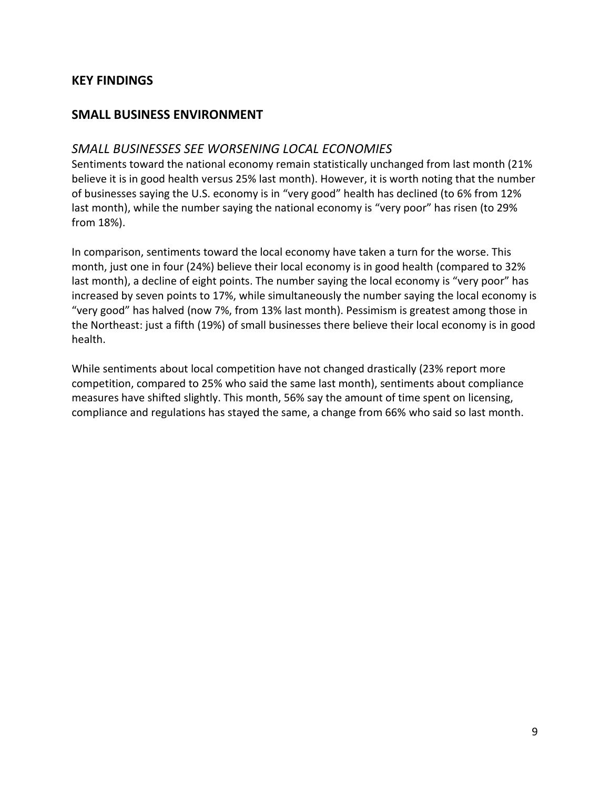### **KEY FINDINGS**

## **SMALL BUSINESS ENVIRONMENT**

#### *SMALL BUSINESSES SEE WORSENING LOCAL ECONOMIES*

Sentiments toward the national economy remain statistically unchanged from last month (21% believe it is in good health versus 25% last month). However, it is worth noting that the number of businesses saying the U.S. economy is in "very good" health has declined (to 6% from 12% last month), while the number saying the national economy is "very poor" has risen (to 29% from 18%).

In comparison, sentiments toward the local economy have taken a turn for the worse. This month, just one in four (24%) believe their local economy is in good health (compared to 32% last month), a decline of eight points. The number saying the local economy is "very poor" has increased by seven points to 17%, while simultaneously the number saying the local economy is "very good" has halved (now 7%, from 13% last month). Pessimism is greatest among those in the Northeast: just a fifth (19%) of small businesses there believe their local economy is in good health.

While sentiments about local competition have not changed drastically (23% report more competition, compared to 25% who said the same last month), sentiments about compliance measures have shifted slightly. This month, 56% say the amount of time spent on licensing, compliance and regulations has stayed the same, a change from 66% who said so last month.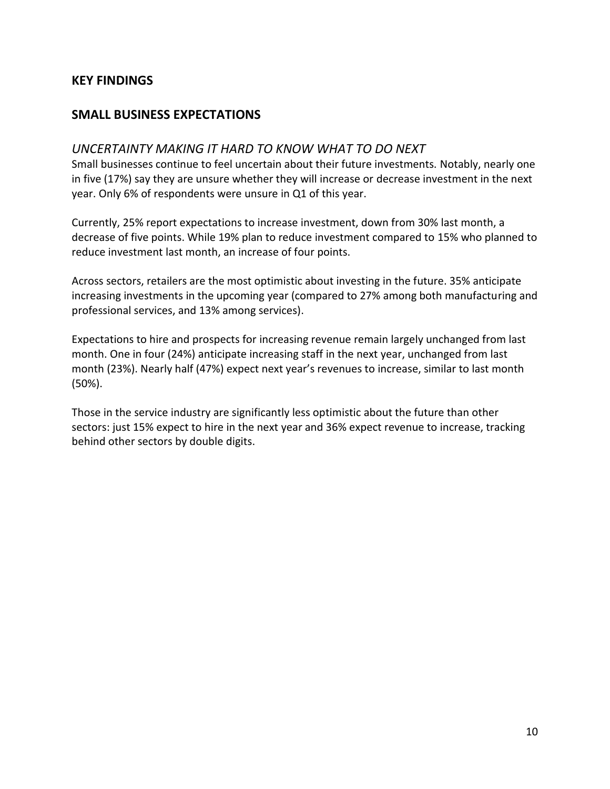#### **KEY FINDINGS**

## **SMALL BUSINESS EXPECTATIONS**

#### *UNCERTAINTY MAKING IT HARD TO KNOW WHAT TO DO NEXT*

Small businesses continue to feel uncertain about their future investments. Notably, nearly one in five (17%) say they are unsure whether they will increase or decrease investment in the next year. Only 6% of respondents were unsure in Q1 of this year.

Currently, 25% report expectations to increase investment, down from 30% last month, a decrease of five points. While 19% plan to reduce investment compared to 15% who planned to reduce investment last month, an increase of four points.

Across sectors, retailers are the most optimistic about investing in the future. 35% anticipate increasing investments in the upcoming year (compared to 27% among both manufacturing and professional services, and 13% among services).

Expectations to hire and prospects for increasing revenue remain largely unchanged from last month. One in four (24%) anticipate increasing staff in the next year, unchanged from last month (23%). Nearly half (47%) expect next year's revenues to increase, similar to last month (50%).

Those in the service industry are significantly less optimistic about the future than other sectors: just 15% expect to hire in the next year and 36% expect revenue to increase, tracking behind other sectors by double digits.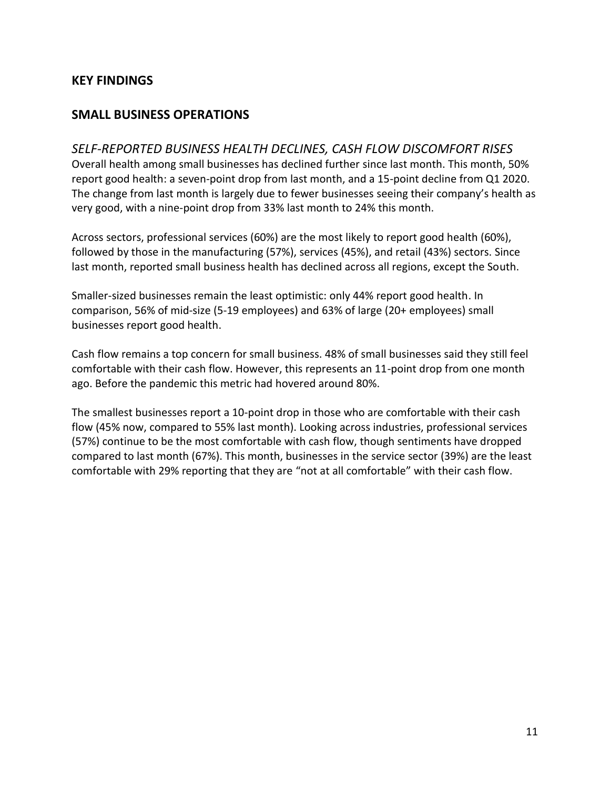#### **KEY FINDINGS**

## **SMALL BUSINESS OPERATIONS**

#### *SELF-REPORTED BUSINESS HEALTH DECLINES, CASH FLOW DISCOMFORT RISES*

Overall health among small businesses has declined further since last month. This month, 50% report good health: a seven-point drop from last month, and a 15-point decline from Q1 2020. The change from last month is largely due to fewer businesses seeing their company's health as very good, with a nine-point drop from 33% last month to 24% this month.

Across sectors, professional services (60%) are the most likely to report good health (60%), followed by those in the manufacturing (57%), services (45%), and retail (43%) sectors. Since last month, reported small business health has declined across all regions, except the South.

Smaller-sized businesses remain the least optimistic: only 44% report good health. In comparison, 56% of mid-size (5-19 employees) and 63% of large (20+ employees) small businesses report good health.

Cash flow remains a top concern for small business. 48% of small businesses said they still feel comfortable with their cash flow. However, this represents an 11-point drop from one month ago. Before the pandemic this metric had hovered around 80%.

The smallest businesses report a 10-point drop in those who are comfortable with their cash flow (45% now, compared to 55% last month). Looking across industries, professional services (57%) continue to be the most comfortable with cash flow, though sentiments have dropped compared to last month (67%). This month, businesses in the service sector (39%) are the least comfortable with 29% reporting that they are "not at all comfortable" with their cash flow.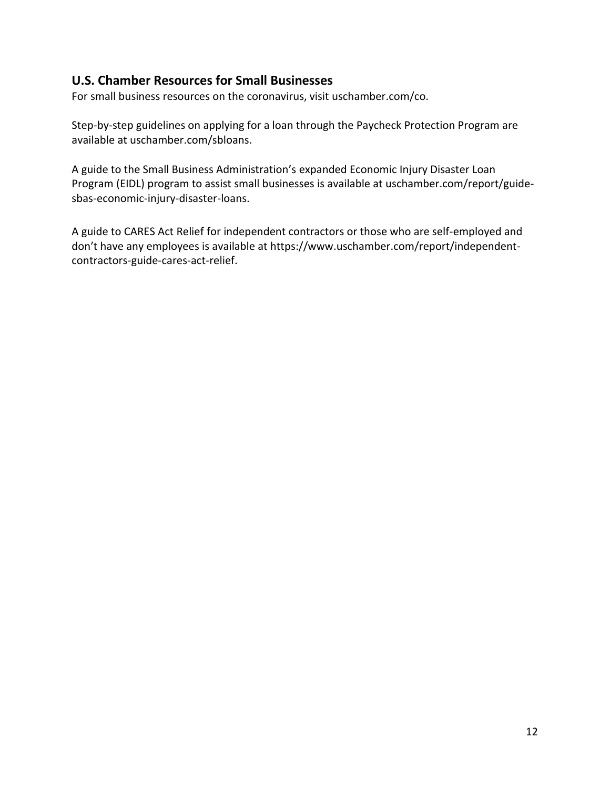## **U.S. Chamber Resources for Small Businesses**

For small business resources on the coronavirus, visit uschamber.com/co.

Step-by-step guidelines on applying for a loan through the Paycheck Protection Program are available at uschamber.com/sbloans.

A guide to the Small Business Administration's expanded Economic Injury Disaster Loan Program (EIDL) program to assist small businesses is available at uschamber.com/report/guidesbas-economic-injury-disaster-loans.

A guide to CARES Act Relief for independent contractors or those who are self-employed and don't have any employees is available at https://www.uschamber.com/report/independentcontractors-guide-cares-act-relief.